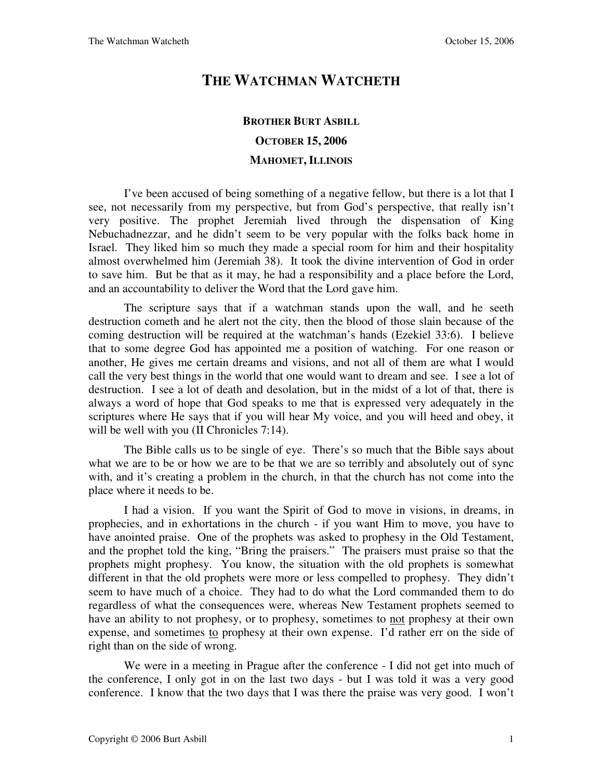## **THE WATCHMAN WATCHETH**

## **BROTHER BURT ASBILL OCTOBER 15, 2006 MAHOMET, ILLINOIS**

I've been accused of being something of a negative fellow, but there is a lot that I see, not necessarily from my perspective, but from God's perspective, that really isn't very positive. The prophet Jeremiah lived through the dispensation of King Nebuchadnezzar, and he didn't seem to be very popular with the folks back home in Israel. They liked him so much they made a special room for him and their hospitality almost overwhelmed him (Jeremiah 38). It took the divine intervention of God in order to save him. But be that as it may, he had a responsibility and a place before the Lord, and an accountability to deliver the Word that the Lord gave him.

The scripture says that if a watchman stands upon the wall, and he seeth destruction cometh and he alert not the city, then the blood of those slain because of the coming destruction will be required at the watchman's hands (Ezekiel 33:6). I believe that to some degree God has appointed me a position of watching. For one reason or another, He gives me certain dreams and visions, and not all of them are what I would call the very best things in the world that one would want to dream and see. I see a lot of destruction. I see a lot of death and desolation, but in the midst of a lot of that, there is always a word of hope that God speaks to me that is expressed very adequately in the scriptures where He says that if you will hear My voice, and you will heed and obey, it will be well with you (II Chronicles 7:14).

The Bible calls us to be single of eye. There's so much that the Bible says about what we are to be or how we are to be that we are so terribly and absolutely out of sync with, and it's creating a problem in the church, in that the church has not come into the place where it needs to be.

I had a vision. If you want the Spirit of God to move in visions, in dreams, in prophecies, and in exhortations in the church - if you want Him to move, you have to have anointed praise. One of the prophets was asked to prophesy in the Old Testament, and the prophet told the king, "Bring the praisers." The praisers must praise so that the prophets might prophesy. You know, the situation with the old prophets is somewhat different in that the old prophets were more or less compelled to prophesy. They didn't seem to have much of a choice. They had to do what the Lord commanded them to do regardless of what the consequences were, whereas New Testament prophets seemed to have an ability to not prophesy, or to prophesy, sometimes to not prophesy at their own expense, and sometimes to prophesy at their own expense. I'd rather err on the side of right than on the side of wrong.

We were in a meeting in Prague after the conference - I did not get into much of the conference, I only got in on the last two days - but I was told it was a very good conference. I know that the two days that I was there the praise was very good. I won't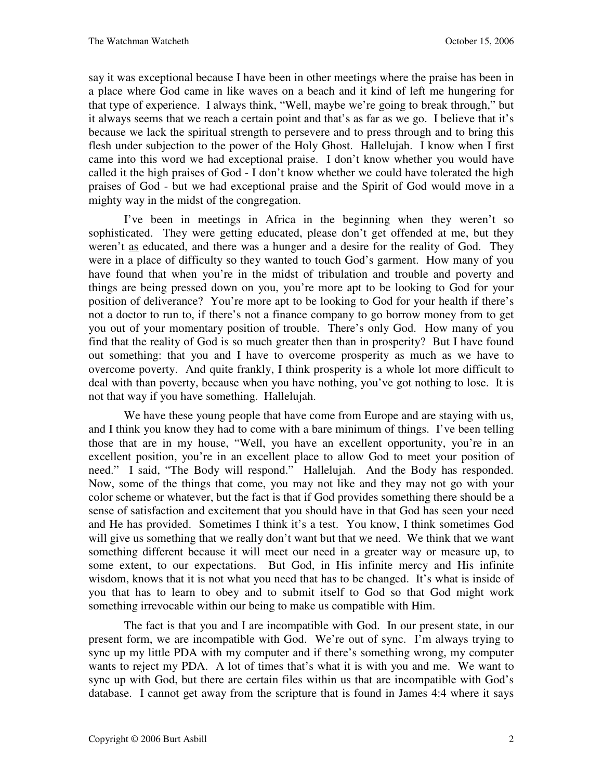say it was exceptional because I have been in other meetings where the praise has been in a place where God came in like waves on a beach and it kind of left me hungering for that type of experience. I always think, "Well, maybe we're going to break through," but it always seems that we reach a certain point and that's as far as we go. I believe that it's because we lack the spiritual strength to persevere and to press through and to bring this flesh under subjection to the power of the Holy Ghost. Hallelujah. I know when I first came into this word we had exceptional praise. I don't know whether you would have called it the high praises of God - I don't know whether we could have tolerated the high praises of God - but we had exceptional praise and the Spirit of God would move in a mighty way in the midst of the congregation.

I've been in meetings in Africa in the beginning when they weren't so sophisticated. They were getting educated, please don't get offended at me, but they weren't as educated, and there was a hunger and a desire for the reality of God. They were in a place of difficulty so they wanted to touch God's garment. How many of you have found that when you're in the midst of tribulation and trouble and poverty and things are being pressed down on you, you're more apt to be looking to God for your position of deliverance? You're more apt to be looking to God for your health if there's not a doctor to run to, if there's not a finance company to go borrow money from to get you out of your momentary position of trouble. There's only God. How many of you find that the reality of God is so much greater then than in prosperity? But I have found out something: that you and I have to overcome prosperity as much as we have to overcome poverty. And quite frankly, I think prosperity is a whole lot more difficult to deal with than poverty, because when you have nothing, you've got nothing to lose. It is not that way if you have something. Hallelujah.

We have these young people that have come from Europe and are staying with us, and I think you know they had to come with a bare minimum of things. I've been telling those that are in my house, "Well, you have an excellent opportunity, you're in an excellent position, you're in an excellent place to allow God to meet your position of need." I said, "The Body will respond." Hallelujah. And the Body has responded. Now, some of the things that come, you may not like and they may not go with your color scheme or whatever, but the fact is that if God provides something there should be a sense of satisfaction and excitement that you should have in that God has seen your need and He has provided. Sometimes I think it's a test. You know, I think sometimes God will give us something that we really don't want but that we need. We think that we want something different because it will meet our need in a greater way or measure up, to some extent, to our expectations. But God, in His infinite mercy and His infinite wisdom, knows that it is not what you need that has to be changed. It's what is inside of you that has to learn to obey and to submit itself to God so that God might work something irrevocable within our being to make us compatible with Him.

The fact is that you and I are incompatible with God. In our present state, in our present form, we are incompatible with God. We're out of sync. I'm always trying to sync up my little PDA with my computer and if there's something wrong, my computer wants to reject my PDA. A lot of times that's what it is with you and me. We want to sync up with God, but there are certain files within us that are incompatible with God's database. I cannot get away from the scripture that is found in James 4:4 where it says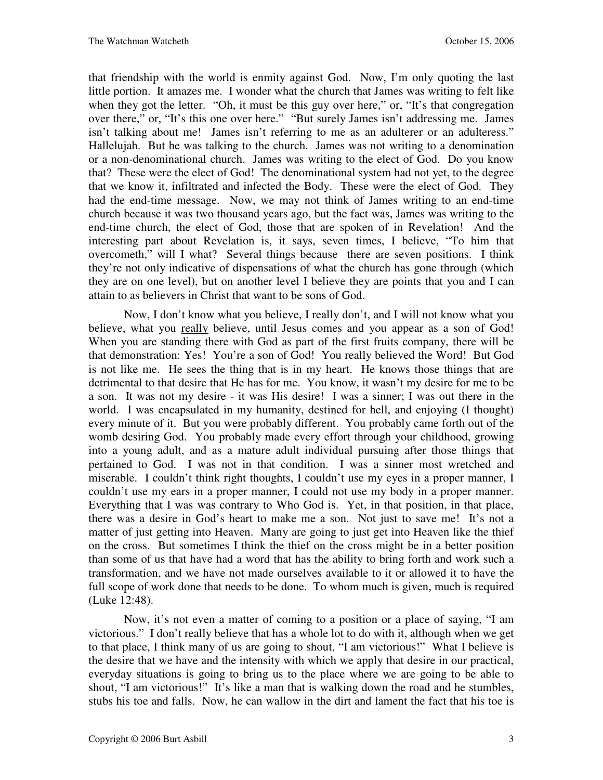that friendship with the world is enmity against God. Now, I'm only quoting the last little portion. It amazes me. I wonder what the church that James was writing to felt like when they got the letter. "Oh, it must be this guy over here," or, "It's that congregation over there," or, "It's this one over here." "But surely James isn't addressing me. James isn't talking about me! James isn't referring to me as an adulterer or an adulteress." Hallelujah. But he was talking to the church. James was not writing to a denomination or a non-denominational church. James was writing to the elect of God. Do you know that? These were the elect of God! The denominational system had not yet, to the degree that we know it, infiltrated and infected the Body. These were the elect of God. They had the end-time message. Now, we may not think of James writing to an end-time church because it was two thousand years ago, but the fact was, James was writing to the end-time church, the elect of God, those that are spoken of in Revelation! And the interesting part about Revelation is, it says, seven times, I believe, "To him that overcometh," will I what? Several things because there are seven positions. I think they're not only indicative of dispensations of what the church has gone through (which they are on one level), but on another level I believe they are points that you and I can attain to as believers in Christ that want to be sons of God.

Now, I don't know what you believe, I really don't, and I will not know what you believe, what you really believe, until Jesus comes and you appear as a son of God! When you are standing there with God as part of the first fruits company, there will be that demonstration: Yes! You're a son of God! You really believed the Word! But God is not like me. He sees the thing that is in my heart. He knows those things that are detrimental to that desire that He has for me. You know, it wasn't my desire for me to be a son. It was not my desire - it was His desire! I was a sinner; I was out there in the world. I was encapsulated in my humanity, destined for hell, and enjoying (I thought) every minute of it. But you were probably different. You probably came forth out of the womb desiring God. You probably made every effort through your childhood, growing into a young adult, and as a mature adult individual pursuing after those things that pertained to God. I was not in that condition. I was a sinner most wretched and miserable. I couldn't think right thoughts, I couldn't use my eyes in a proper manner, I couldn't use my ears in a proper manner, I could not use my body in a proper manner. Everything that I was was contrary to Who God is. Yet, in that position, in that place, there was a desire in God's heart to make me a son. Not just to save me! It's not a matter of just getting into Heaven. Many are going to just get into Heaven like the thief on the cross. But sometimes I think the thief on the cross might be in a better position than some of us that have had a word that has the ability to bring forth and work such a transformation, and we have not made ourselves available to it or allowed it to have the full scope of work done that needs to be done. To whom much is given, much is required (Luke 12:48).

Now, it's not even a matter of coming to a position or a place of saying, "I am victorious." I don't really believe that has a whole lot to do with it, although when we get to that place, I think many of us are going to shout, "I am victorious!" What I believe is the desire that we have and the intensity with which we apply that desire in our practical, everyday situations is going to bring us to the place where we are going to be able to shout, "I am victorious!" It's like a man that is walking down the road and he stumbles, stubs his toe and falls. Now, he can wallow in the dirt and lament the fact that his toe is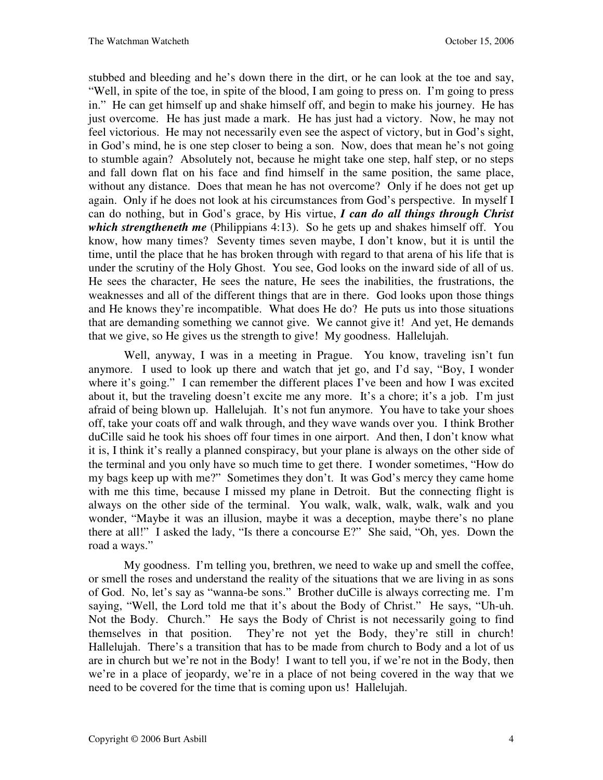stubbed and bleeding and he's down there in the dirt, or he can look at the toe and say, "Well, in spite of the toe, in spite of the blood, I am going to press on. I'm going to press in." He can get himself up and shake himself off, and begin to make his journey. He has just overcome. He has just made a mark. He has just had a victory. Now, he may not feel victorious. He may not necessarily even see the aspect of victory, but in God's sight, in God's mind, he is one step closer to being a son. Now, does that mean he's not going to stumble again? Absolutely not, because he might take one step, half step, or no steps and fall down flat on his face and find himself in the same position, the same place, without any distance. Does that mean he has not overcome? Only if he does not get up again. Only if he does not look at his circumstances from God's perspective. In myself I can do nothing, but in God's grace, by His virtue, *I can do all things through Christ which strengtheneth me* (Philippians 4:13). So he gets up and shakes himself off. You know, how many times? Seventy times seven maybe, I don't know, but it is until the time, until the place that he has broken through with regard to that arena of his life that is under the scrutiny of the Holy Ghost. You see, God looks on the inward side of all of us. He sees the character, He sees the nature, He sees the inabilities, the frustrations, the weaknesses and all of the different things that are in there. God looks upon those things and He knows they're incompatible. What does He do? He puts us into those situations that are demanding something we cannot give. We cannot give it! And yet, He demands that we give, so He gives us the strength to give! My goodness. Hallelujah.

Well, anyway, I was in a meeting in Prague. You know, traveling isn't fun anymore. I used to look up there and watch that jet go, and I'd say, "Boy, I wonder where it's going." I can remember the different places I've been and how I was excited about it, but the traveling doesn't excite me any more. It's a chore; it's a job. I'm just afraid of being blown up. Hallelujah. It's not fun anymore. You have to take your shoes off, take your coats off and walk through, and they wave wands over you. I think Brother duCille said he took his shoes off four times in one airport. And then, I don't know what it is, I think it's really a planned conspiracy, but your plane is always on the other side of the terminal and you only have so much time to get there. I wonder sometimes, "How do my bags keep up with me?" Sometimes they don't. It was God's mercy they came home with me this time, because I missed my plane in Detroit. But the connecting flight is always on the other side of the terminal. You walk, walk, walk, walk, walk and you wonder, "Maybe it was an illusion, maybe it was a deception, maybe there's no plane there at all!" I asked the lady, "Is there a concourse E?" She said, "Oh, yes. Down the road a ways."

My goodness. I'm telling you, brethren, we need to wake up and smell the coffee, or smell the roses and understand the reality of the situations that we are living in as sons of God. No, let's say as "wanna-be sons." Brother duCille is always correcting me. I'm saying, "Well, the Lord told me that it's about the Body of Christ." He says, "Uh-uh. Not the Body. Church." He says the Body of Christ is not necessarily going to find themselves in that position. They're not yet the Body, they're still in church! Hallelujah. There's a transition that has to be made from church to Body and a lot of us are in church but we're not in the Body! I want to tell you, if we're not in the Body, then we're in a place of jeopardy, we're in a place of not being covered in the way that we need to be covered for the time that is coming upon us! Hallelujah.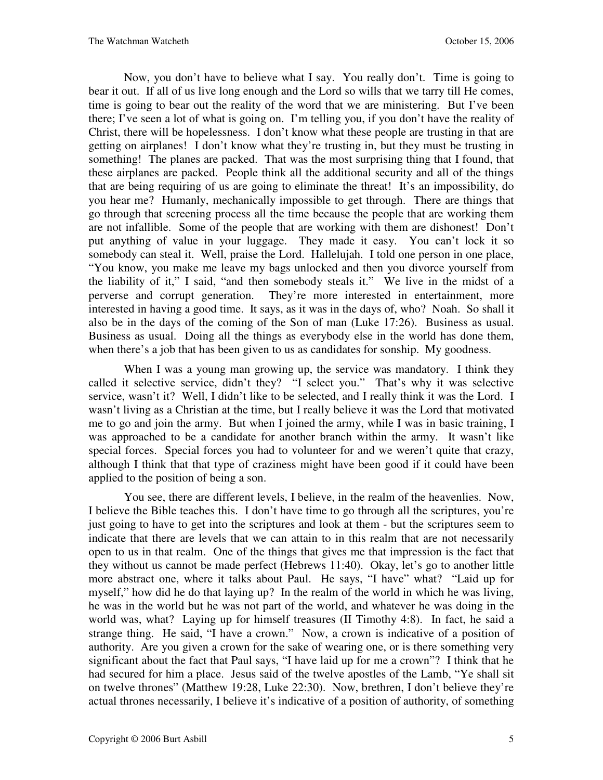Now, you don't have to believe what I say. You really don't. Time is going to bear it out. If all of us live long enough and the Lord so wills that we tarry till He comes, time is going to bear out the reality of the word that we are ministering. But I've been there; I've seen a lot of what is going on. I'm telling you, if you don't have the reality of Christ, there will be hopelessness. I don't know what these people are trusting in that are getting on airplanes! I don't know what they're trusting in, but they must be trusting in something! The planes are packed. That was the most surprising thing that I found, that these airplanes are packed. People think all the additional security and all of the things that are being requiring of us are going to eliminate the threat! It's an impossibility, do you hear me? Humanly, mechanically impossible to get through. There are things that go through that screening process all the time because the people that are working them are not infallible. Some of the people that are working with them are dishonest! Don't put anything of value in your luggage. They made it easy. You can't lock it so somebody can steal it. Well, praise the Lord. Hallelujah. I told one person in one place, "You know, you make me leave my bags unlocked and then you divorce yourself from the liability of it," I said, "and then somebody steals it." We live in the midst of a perverse and corrupt generation. They're more interested in entertainment, more interested in having a good time. It says, as it was in the days of, who? Noah. So shall it also be in the days of the coming of the Son of man (Luke 17:26).Business as usual. Business as usual. Doing all the things as everybody else in the world has done them, when there's a job that has been given to us as candidates for sonship. My goodness.

When I was a young man growing up, the service was mandatory. I think they called it selective service, didn't they? "I select you." That's why it was selective service, wasn't it? Well, I didn't like to be selected, and I really think it was the Lord. I wasn't living as a Christian at the time, but I really believe it was the Lord that motivated me to go and join the army. But when I joined the army, while I was in basic training, I was approached to be a candidate for another branch within the army. It wasn't like special forces. Special forces you had to volunteer for and we weren't quite that crazy, although I think that that type of craziness might have been good if it could have been applied to the position of being a son.

You see, there are different levels, I believe, in the realm of the heavenlies. Now, I believe the Bible teaches this. I don't have time to go through all the scriptures, you're just going to have to get into the scriptures and look at them - but the scriptures seem to indicate that there are levels that we can attain to in this realm that are not necessarily open to us in that realm. One of the things that gives me that impression is the fact that they without us cannot be made perfect (Hebrews 11:40). Okay, let's go to another little more abstract one, where it talks about Paul. He says, "I have" what? "Laid up for myself," how did he do that laying up? In the realm of the world in which he was living, he was in the world but he was not part of the world, and whatever he was doing in the world was, what? Laying up for himself treasures (II Timothy 4:8). In fact, he said a strange thing. He said, "I have a crown." Now, a crown is indicative of a position of authority. Are you given a crown for the sake of wearing one, or is there something very significant about the fact that Paul says, "I have laid up for me a crown"? I think that he had secured for him a place. Jesus said of the twelve apostles of the Lamb, "Ye shall sit on twelve thrones" (Matthew 19:28, Luke 22:30). Now, brethren, I don't believe they're actual thrones necessarily, I believe it's indicative of a position of authority, of something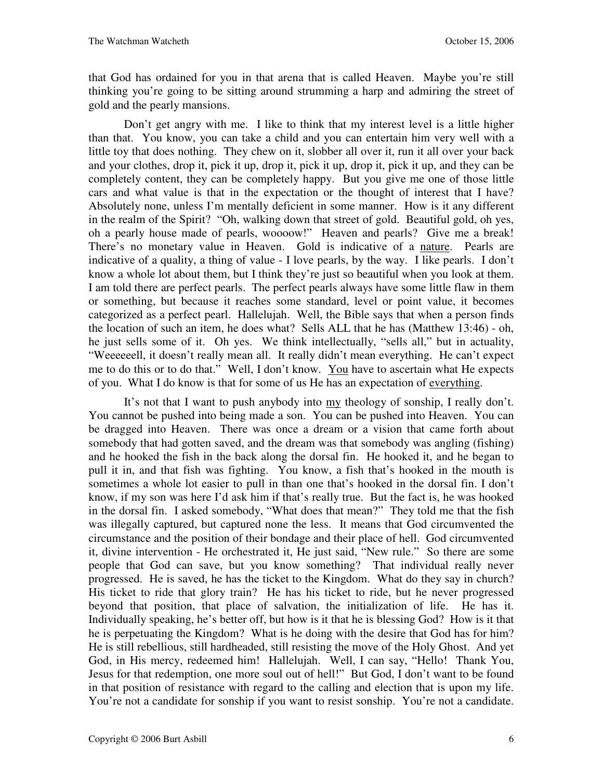that God has ordained for you in that arena that is called Heaven. Maybe you're still thinking you're going to be sitting around strumming a harp and admiring the street of gold and the pearly mansions.

Don't get angry with me. I like to think that my interest level is a little higher than that. You know, you can take a child and you can entertain him very well with a little toy that does nothing. They chew on it, slobber all over it, run it all over your back and your clothes, drop it, pick it up, drop it, pick it up, drop it, pick it up, and they can be completely content, they can be completely happy. But you give me one of those little cars and what value is that in the expectation or the thought of interest that I have? Absolutely none, unless I'm mentally deficient in some manner. How is it any different in the realm of the Spirit? "Oh, walking down that street of gold. Beautiful gold, oh yes, oh a pearly house made of pearls, woooow!" Heaven and pearls? Give me a break! There's no monetary value in Heaven. Gold is indicative of a nature. Pearls are indicative of a quality, a thing of value - I love pearls, by the way. I like pearls. I don't know a whole lot about them, but I think they're just so beautiful when you look at them. I am told there are perfect pearls. The perfect pearls always have some little flaw in them or something, but because it reaches some standard, level or point value, it becomes categorized as a perfect pearl. Hallelujah. Well, the Bible says that when a person finds the location of such an item, he does what? Sells ALL that he has (Matthew 13:46) - oh, he just sells some of it. Oh yes. We think intellectually, "sells all," but in actuality, "Weeeeeell, it doesn't really mean all. It really didn't mean everything. He can't expect me to do this or to do that." Well, I don't know. You have to ascertain what He expects of you. What I do know is that for some of us He has an expectation of everything.

It's not that I want to push anybody into my theology of sonship, I really don't. You cannot be pushed into being made a son. You can be pushed into Heaven. You can be dragged into Heaven. There was once a dream or a vision that came forth about somebody that had gotten saved, and the dream was that somebody was angling (fishing) and he hooked the fish in the back along the dorsal fin. He hooked it, and he began to pull it in, and that fish was fighting. You know, a fish that's hooked in the mouth is sometimes a whole lot easier to pull in than one that's hooked in the dorsal fin. I don't know, if my son was here I'd ask him if that's really true. But the fact is, he was hooked in the dorsal fin. I asked somebody, "What does that mean?" They told me that the fish was illegally captured, but captured none the less. It means that God circumvented the circumstance and the position of their bondage and their place of hell. God circumvented it, divine intervention - He orchestrated it, He just said, "New rule." So there are some people that God can save, but you know something? That individual really never progressed. He is saved, he has the ticket to the Kingdom. What do they say in church? His ticket to ride that glory train? He has his ticket to ride, but he never progressed beyond that position, that place of salvation, the initialization of life. He has it. Individually speaking, he's better off, but how is it that he is blessing God? How is it that he is perpetuating the Kingdom? What is he doing with the desire that God has for him? He is still rebellious, still hardheaded, still resisting the move of the Holy Ghost. And yet God, in His mercy, redeemed him! Hallelujah. Well, I can say, "Hello! Thank You, Jesus for that redemption, one more soul out of hell!" But God, I don't want to be found in that position of resistance with regard to the calling and election that is upon my life. You're not a candidate for sonship if you want to resist sonship. You're not a candidate.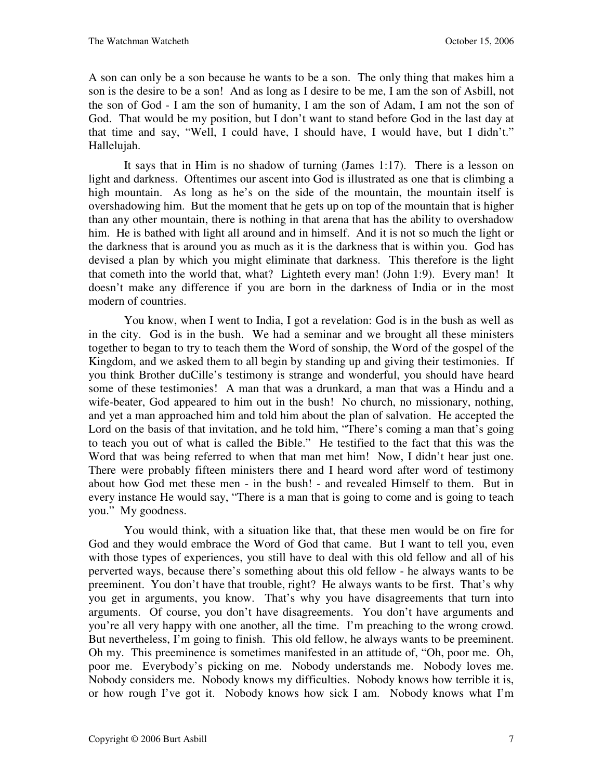A son can only be a son because he wants to be a son. The only thing that makes him a son is the desire to be a son! And as long as I desire to be me, I am the son of Asbill, not the son of God - I am the son of humanity, I am the son of Adam, I am not the son of God. That would be my position, but I don't want to stand before God in the last day at that time and say, "Well, I could have, I should have, I would have, but I didn't." Hallelujah.

It says that in Him is no shadow of turning (James 1:17). There is a lesson on light and darkness. Oftentimes our ascent into God is illustrated as one that is climbing a high mountain. As long as he's on the side of the mountain, the mountain itself is overshadowing him. But the moment that he gets up on top of the mountain that is higher than any other mountain, there is nothing in that arena that has the ability to overshadow him. He is bathed with light all around and in himself. And it is not so much the light or the darkness that is around you as much as it is the darkness that is within you. God has devised a plan by which you might eliminate that darkness. This therefore is the light that cometh into the world that, what? Lighteth every man! (John 1:9). Every man! It doesn't make any difference if you are born in the darkness of India or in the most modern of countries.

You know, when I went to India, I got a revelation: God is in the bush as well as in the city. God is in the bush. We had a seminar and we brought all these ministers together to began to try to teach them the Word of sonship, the Word of the gospel of the Kingdom, and we asked them to all begin by standing up and giving their testimonies. If you think Brother duCille's testimony is strange and wonderful, you should have heard some of these testimonies! A man that was a drunkard, a man that was a Hindu and a wife-beater, God appeared to him out in the bush! No church, no missionary, nothing, and yet a man approached him and told him about the plan of salvation. He accepted the Lord on the basis of that invitation, and he told him, "There's coming a man that's going to teach you out of what is called the Bible." He testified to the fact that this was the Word that was being referred to when that man met him! Now, I didn't hear just one. There were probably fifteen ministers there and I heard word after word of testimony about how God met these men - in the bush! - and revealed Himself to them. But in every instance He would say, "There is a man that is going to come and is going to teach you." My goodness.

You would think, with a situation like that, that these men would be on fire for God and they would embrace the Word of God that came. But I want to tell you, even with those types of experiences, you still have to deal with this old fellow and all of his perverted ways, because there's something about this old fellow - he always wants to be preeminent. You don't have that trouble, right? He always wants to be first. That's why you get in arguments, you know. That's why you have disagreements that turn into arguments. Of course, you don't have disagreements. You don't have arguments and you're all very happy with one another, all the time. I'm preaching to the wrong crowd. But nevertheless, I'm going to finish. This old fellow, he always wants to be preeminent. Oh my. This preeminence is sometimes manifested in an attitude of, "Oh, poor me. Oh, poor me. Everybody's picking on me. Nobody understands me. Nobody loves me. Nobody considers me. Nobody knows my difficulties. Nobody knows how terrible it is, or how rough I've got it. Nobody knows how sick I am. Nobody knows what I'm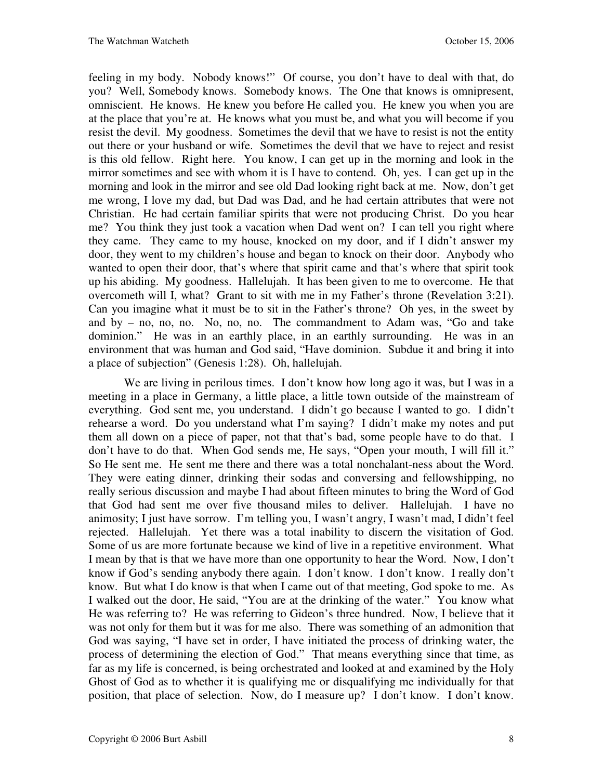feeling in my body. Nobody knows!" Of course, you don't have to deal with that, do you? Well, Somebody knows. Somebody knows. The One that knows is omnipresent, omniscient. He knows. He knew you before He called you. He knew you when you are at the place that you're at. He knows what you must be, and what you will become if you resist the devil. My goodness. Sometimes the devil that we have to resist is not the entity out there or your husband or wife. Sometimes the devil that we have to reject and resist is this old fellow. Right here. You know, I can get up in the morning and look in the mirror sometimes and see with whom it is I have to contend. Oh, yes. I can get up in the morning and look in the mirror and see old Dad looking right back at me. Now, don't get me wrong, I love my dad, but Dad was Dad, and he had certain attributes that were not Christian. He had certain familiar spirits that were not producing Christ. Do you hear me? You think they just took a vacation when Dad went on? I can tell you right where they came. They came to my house, knocked on my door, and if I didn't answer my door, they went to my children's house and began to knock on their door. Anybody who wanted to open their door, that's where that spirit came and that's where that spirit took up his abiding. My goodness. Hallelujah. It has been given to me to overcome. He that overcometh will I, what? Grant to sit with me in my Father's throne (Revelation 3:21). Can you imagine what it must be to sit in the Father's throne? Oh yes, in the sweet by and by – no, no, no. No, no, no. The commandment to Adam was, "Go and take dominion." He was in an earthly place, in an earthly surrounding. He was in an environment that was human and God said, "Have dominion. Subdue it and bring it into a place of subjection" (Genesis 1:28). Oh, hallelujah.

We are living in perilous times. I don't know how long ago it was, but I was in a meeting in a place in Germany, a little place, a little town outside of the mainstream of everything. God sent me, you understand. I didn't go because I wanted to go. I didn't rehearse a word. Do you understand what I'm saying? I didn't make my notes and put them all down on a piece of paper, not that that's bad, some people have to do that. I don't have to do that. When God sends me, He says, "Open your mouth, I will fill it." So He sent me. He sent me there and there was a total nonchalant-ness about the Word. They were eating dinner, drinking their sodas and conversing and fellowshipping, no really serious discussion and maybe I had about fifteen minutes to bring the Word of God that God had sent me over five thousand miles to deliver. Hallelujah. I have no animosity; I just have sorrow. I'm telling you, I wasn't angry, I wasn't mad, I didn't feel rejected. Hallelujah. Yet there was a total inability to discern the visitation of God. Some of us are more fortunate because we kind of live in a repetitive environment. What I mean by that is that we have more than one opportunity to hear the Word. Now, I don't know if God's sending anybody there again. I don't know. I don't know. I really don't know. But what I do know is that when I came out of that meeting, God spoke to me. As I walked out the door, He said, "You are at the drinking of the water." You know what He was referring to? He was referring to Gideon's three hundred. Now, I believe that it was not only for them but it was for me also. There was something of an admonition that God was saying, "I have set in order, I have initiated the process of drinking water, the process of determining the election of God." That means everything since that time, as far as my life is concerned, is being orchestrated and looked at and examined by the Holy Ghost of God as to whether it is qualifying me or disqualifying me individually for that position, that place of selection. Now, do I measure up? I don't know. I don't know.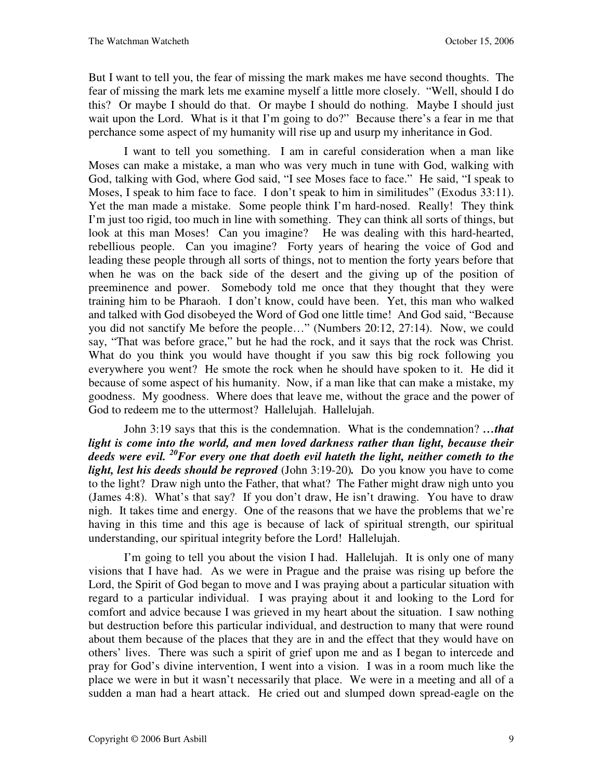But I want to tell you, the fear of missing the mark makes me have second thoughts. The fear of missing the mark lets me examine myself a little more closely. "Well, should I do this? Or maybe I should do that. Or maybe I should do nothing. Maybe I should just wait upon the Lord. What is it that I'm going to do?" Because there's a fear in me that perchance some aspect of my humanity will rise up and usurp my inheritance in God.

I want to tell you something. I am in careful consideration when a man like Moses can make a mistake, a man who was very much in tune with God, walking with God, talking with God, where God said, "I see Moses face to face." He said, "I speak to Moses, I speak to him face to face. I don't speak to him in similitudes" (Exodus 33:11). Yet the man made a mistake. Some people think I'm hard-nosed. Really! They think I'm just too rigid, too much in line with something. They can think all sorts of things, but look at this man Moses! Can you imagine? He was dealing with this hard-hearted, rebellious people. Can you imagine? Forty years of hearing the voice of God and leading these people through all sorts of things, not to mention the forty years before that when he was on the back side of the desert and the giving up of the position of preeminence and power. Somebody told me once that they thought that they were training him to be Pharaoh. I don't know, could have been. Yet, this man who walked and talked with God disobeyed the Word of God one little time! And God said, "Because you did not sanctify Me before the people…" (Numbers 20:12, 27:14). Now, we could say, "That was before grace," but he had the rock, and it says that the rock was Christ. What do you think you would have thought if you saw this big rock following you everywhere you went? He smote the rock when he should have spoken to it. He did it because of some aspect of his humanity. Now, if a man like that can make a mistake, my goodness. My goodness. Where does that leave me, without the grace and the power of God to redeem me to the uttermost? Hallelujah. Hallelujah.

John 3:19 says that this is the condemnation. What is the condemnation? *…that*  light is come into the world, and men loved darkness rather than light, because their *deeds were evil. <sup>20</sup>For every one that doeth evil hateth the light, neither cometh to the light, lest his deeds should be reproved* (John 3:19-20)*.* Do you know you have to come to the light? Draw nigh unto the Father, that what? The Father might draw nigh unto you (James 4:8).What's that say? If you don't draw, He isn't drawing. You have to draw nigh. It takes time and energy. One of the reasons that we have the problems that we're having in this time and this age is because of lack of spiritual strength, our spiritual understanding, our spiritual integrity before the Lord! Hallelujah.

I'm going to tell you about the vision I had. Hallelujah. It is only one of many visions that I have had. As we were in Prague and the praise was rising up before the Lord, the Spirit of God began to move and I was praying about a particular situation with regard to a particular individual. I was praying about it and looking to the Lord for comfort and advice because I was grieved in my heart about the situation. I saw nothing but destruction before this particular individual, and destruction to many that were round about them because of the places that they are in and the effect that they would have on others' lives. There was such a spirit of grief upon me and as I began to intercede and pray for God's divine intervention, I went into a vision. I was in a room much like the place we were in but it wasn't necessarily that place. We were in a meeting and all of a sudden a man had a heart attack. He cried out and slumped down spread-eagle on the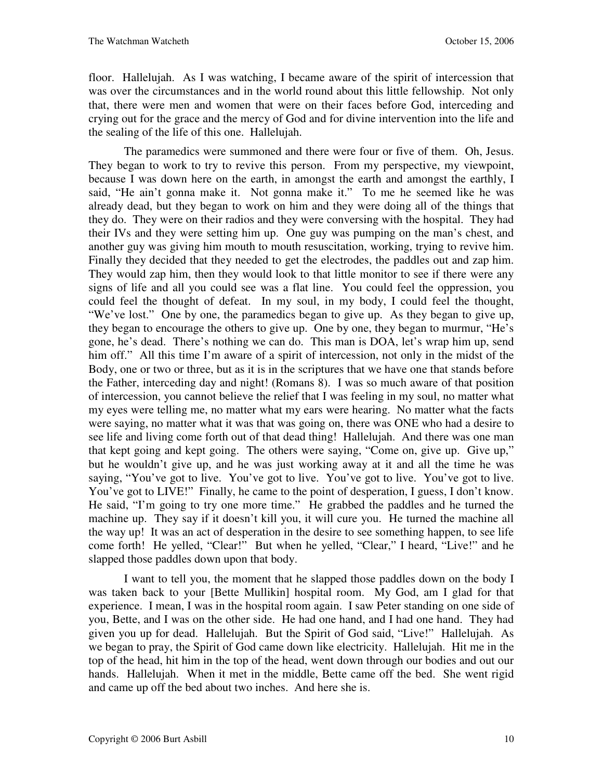floor. Hallelujah. As I was watching, I became aware of the spirit of intercession that was over the circumstances and in the world round about this little fellowship. Not only that, there were men and women that were on their faces before God, interceding and crying out for the grace and the mercy of God and for divine intervention into the life and the sealing of the life of this one. Hallelujah.

The paramedics were summoned and there were four or five of them. Oh, Jesus. They began to work to try to revive this person. From my perspective, my viewpoint, because I was down here on the earth, in amongst the earth and amongst the earthly, I said, "He ain't gonna make it. Not gonna make it." To me he seemed like he was already dead, but they began to work on him and they were doing all of the things that they do. They were on their radios and they were conversing with the hospital. They had their IVs and they were setting him up. One guy was pumping on the man's chest, and another guy was giving him mouth to mouth resuscitation, working, trying to revive him. Finally they decided that they needed to get the electrodes, the paddles out and zap him. They would zap him, then they would look to that little monitor to see if there were any signs of life and all you could see was a flat line. You could feel the oppression, you could feel the thought of defeat. In my soul, in my body, I could feel the thought, "We've lost." One by one, the paramedics began to give up. As they began to give up, they began to encourage the others to give up. One by one, they began to murmur, "He's gone, he's dead. There's nothing we can do. This man is DOA, let's wrap him up, send him off." All this time I'm aware of a spirit of intercession, not only in the midst of the Body, one or two or three, but as it is in the scriptures that we have one that stands before the Father, interceding day and night! (Romans 8). I was so much aware of that position of intercession, you cannot believe the relief that I was feeling in my soul, no matter what my eyes were telling me, no matter what my ears were hearing. No matter what the facts were saying, no matter what it was that was going on, there was ONE who had a desire to see life and living come forth out of that dead thing! Hallelujah. And there was one man that kept going and kept going. The others were saying, "Come on, give up. Give up," but he wouldn't give up, and he was just working away at it and all the time he was saying, "You've got to live. You've got to live. You've got to live. You've got to live. You've got to LIVE!" Finally, he came to the point of desperation, I guess, I don't know. He said, "I'm going to try one more time." He grabbed the paddles and he turned the machine up. They say if it doesn't kill you, it will cure you. He turned the machine all the way up! It was an act of desperation in the desire to see something happen, to see life come forth! He yelled, "Clear!" But when he yelled, "Clear," I heard, "Live!" and he slapped those paddles down upon that body.

I want to tell you, the moment that he slapped those paddles down on the body I was taken back to your [Bette Mullikin] hospital room. My God, am I glad for that experience. I mean, I was in the hospital room again. I saw Peter standing on one side of you, Bette, and I was on the other side. He had one hand, and I had one hand. They had given you up for dead. Hallelujah. But the Spirit of God said, "Live!" Hallelujah. As we began to pray, the Spirit of God came down like electricity. Hallelujah. Hit me in the top of the head, hit him in the top of the head, went down through our bodies and out our hands. Hallelujah. When it met in the middle, Bette came off the bed. She went rigid and came up off the bed about two inches. And here she is.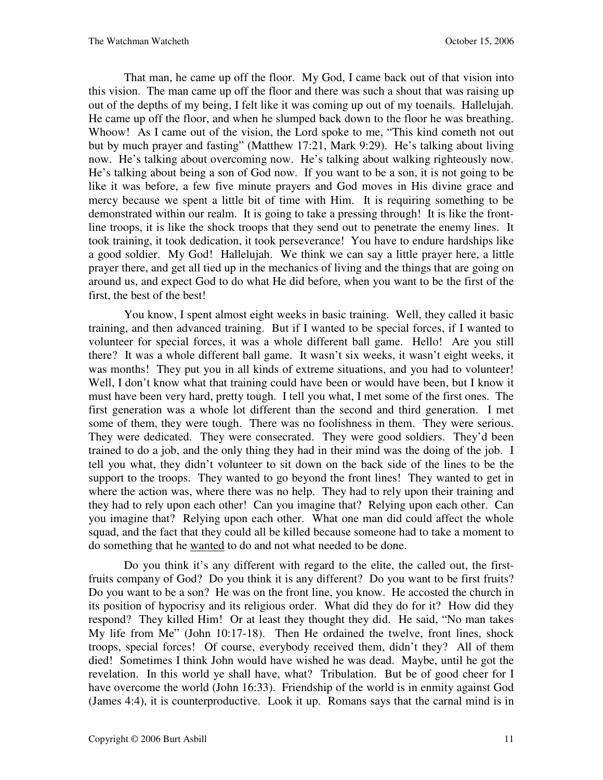That man, he came up off the floor. My God, I came back out of that vision into this vision. The man came up off the floor and there was such a shout that was raising up out of the depths of my being, I felt like it was coming up out of my toenails. Hallelujah. He came up off the floor, and when he slumped back down to the floor he was breathing. Whoow! As I came out of the vision, the Lord spoke to me, "This kind cometh not out but by much prayer and fasting" (Matthew 17:21, Mark 9:29). He's talking about living now. He's talking about overcoming now. He's talking about walking righteously now. He's talking about being a son of God now. If you want to be a son, it is not going to be like it was before, a few five minute prayers and God moves in His divine grace and mercy because we spent a little bit of time with Him. It is requiring something to be demonstrated within our realm. It is going to take a pressing through! It is like the frontline troops, it is like the shock troops that they send out to penetrate the enemy lines. It took training, it took dedication, it took perseverance! You have to endure hardships like a good soldier. My God! Hallelujah. We think we can say a little prayer here, a little prayer there, and get all tied up in the mechanics of living and the things that are going on around us, and expect God to do what He did before, when you want to be the first of the first, the best of the best!

You know, I spent almost eight weeks in basic training. Well, they called it basic training, and then advanced training. But if I wanted to be special forces, if I wanted to volunteer for special forces, it was a whole different ball game. Hello! Are you still there? It was a whole different ball game. It wasn't six weeks, it wasn't eight weeks, it was months! They put you in all kinds of extreme situations, and you had to volunteer! Well, I don't know what that training could have been or would have been, but I know it must have been very hard, pretty tough. I tell you what, I met some of the first ones. The first generation was a whole lot different than the second and third generation. I met some of them, they were tough. There was no foolishness in them. They were serious. They were dedicated. They were consecrated. They were good soldiers. They'd been trained to do a job, and the only thing they had in their mind was the doing of the job. I tell you what, they didn't volunteer to sit down on the back side of the lines to be the support to the troops. They wanted to go beyond the front lines! They wanted to get in where the action was, where there was no help. They had to rely upon their training and they had to rely upon each other! Can you imagine that? Relying upon each other. Can you imagine that? Relying upon each other. What one man did could affect the whole squad, and the fact that they could all be killed because someone had to take a moment to do something that he wanted to do and not what needed to be done.

Do you think it's any different with regard to the elite, the called out, the firstfruits company of God? Do you think it is any different? Do you want to be first fruits? Do you want to be a son? He was on the front line, you know. He accosted the church in its position of hypocrisy and its religious order. What did they do for it? How did they respond? They killed Him! Or at least they thought they did. He said, "No man takes My life from Me" (John 10:17-18). Then He ordained the twelve, front lines, shock troops, special forces! Of course, everybody received them, didn't they? All of them died! Sometimes I think John would have wished he was dead. Maybe, until he got the revelation. In this world ye shall have, what? Tribulation. But be of good cheer for I have overcome the world (John 16:33). Friendship of the world is in enmity against God (James 4:4), it is counterproductive. Look it up. Romans says that the carnal mind is in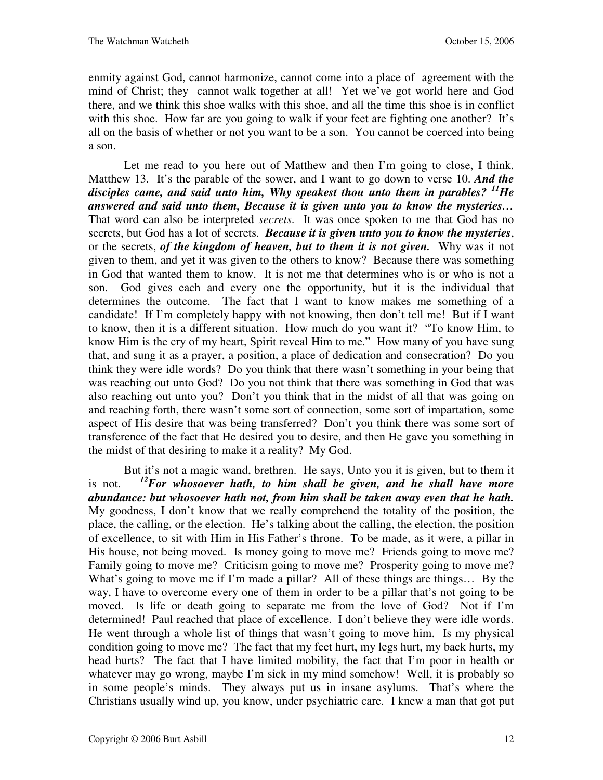enmity against God, cannot harmonize, cannot come into a place of agreement with the mind of Christ; they cannot walk together at all! Yet we've got world here and God there, and we think this shoe walks with this shoe, and all the time this shoe is in conflict with this shoe. How far are you going to walk if your feet are fighting one another? It's all on the basis of whether or not you want to be a son. You cannot be coerced into being a son.

Let me read to you here out of Matthew and then I'm going to close, I think. Matthew 13. It's the parable of the sower, and I want to go down to verse 10. *And the disciples came, and said unto him, Why speakest thou unto them in parables? <sup>11</sup>He answered and said unto them, Because it is given unto you to know the mysteries…* That word can also be interpreted *secrets*. It was once spoken to me that God has no secrets, but God has a lot of secrets. *Because it is given unto you to know the mysteries*, or the secrets, *of the kingdom of heaven, but to them it is not given.* Why was it not given to them, and yet it was given to the others to know? Because there was something in God that wanted them to know. It is not me that determines who is or who is not a son. God gives each and every one the opportunity, but it is the individual that determines the outcome. The fact that I want to know makes me something of a candidate! If I'm completely happy with not knowing, then don't tell me! But if I want to know, then it is a different situation. How much do you want it? "To know Him, to know Him is the cry of my heart, Spirit reveal Him to me." How many of you have sung that, and sung it as a prayer, a position, a place of dedication and consecration? Do you think they were idle words? Do you think that there wasn't something in your being that was reaching out unto God? Do you not think that there was something in God that was also reaching out unto you? Don't you think that in the midst of all that was going on and reaching forth, there wasn't some sort of connection, some sort of impartation, some aspect of His desire that was being transferred? Don't you think there was some sort of transference of the fact that He desired you to desire, and then He gave you something in the midst of that desiring to make it a reality? My God.

But it's not a magic wand, brethren. He says, Unto you it is given, but to them it is not. *<sup>12</sup>For whosoever hath, to him shall be given, and he shall have more abundance: but whosoever hath not, from him shall be taken away even that he hath.* My goodness, I don't know that we really comprehend the totality of the position, the place, the calling, or the election. He's talking about the calling, the election, the position of excellence, to sit with Him in His Father's throne. To be made, as it were, a pillar in His house, not being moved. Is money going to move me? Friends going to move me? Family going to move me? Criticism going to move me? Prosperity going to move me? What's going to move me if I'm made a pillar? All of these things are things... By the way, I have to overcome every one of them in order to be a pillar that's not going to be moved. Is life or death going to separate me from the love of God? Not if I'm determined! Paul reached that place of excellence. I don't believe they were idle words. He went through a whole list of things that wasn't going to move him. Is my physical condition going to move me? The fact that my feet hurt, my legs hurt, my back hurts, my head hurts? The fact that I have limited mobility, the fact that I'm poor in health or whatever may go wrong, maybe I'm sick in my mind somehow! Well, it is probably so in some people's minds. They always put us in insane asylums. That's where the Christians usually wind up, you know, under psychiatric care. I knew a man that got put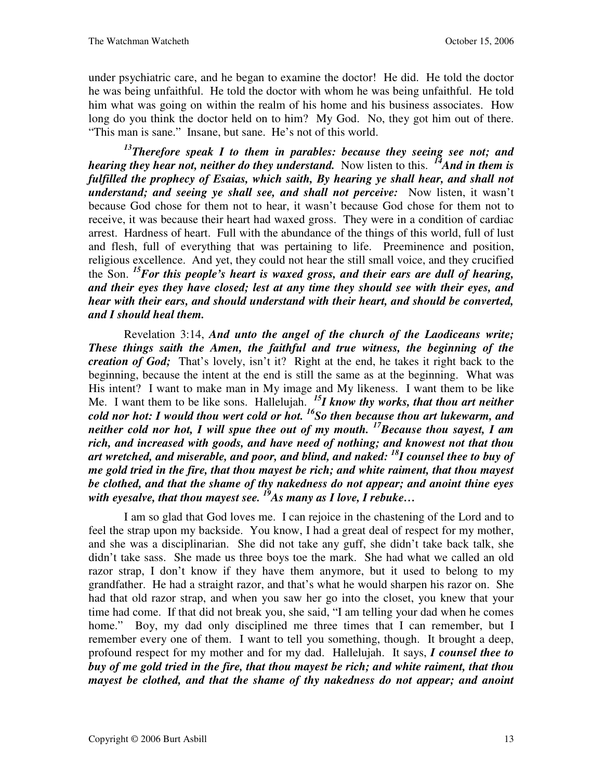under psychiatric care, and he began to examine the doctor! He did. He told the doctor he was being unfaithful. He told the doctor with whom he was being unfaithful. He told him what was going on within the realm of his home and his business associates. How long do you think the doctor held on to him? My God. No, they got him out of there. "This man is sane." Insane, but sane. He's not of this world.

*<sup>13</sup>Therefore speak I to them in parables: because they seeing see not; and hearing they hear not, neither do they understand.* Now listen to this. <sup>14</sup>*And in them is fulfilled the prophecy of Esaias, which saith, By hearing ye shall hear, and shall not understand; and seeing ye shall see, and shall not perceive:* Now listen, it wasn't because God chose for them not to hear, it wasn't because God chose for them not to receive, it was because their heart had waxed gross. They were in a condition of cardiac arrest. Hardness of heart. Full with the abundance of the things of this world, full of lust and flesh, full of everything that was pertaining to life. Preeminence and position, religious excellence. And yet, they could not hear the still small voice, and they crucified the Son. *<sup>15</sup>For this people's heart is waxed gross, and their ears are dull of hearing, and their eyes they have closed; lest at any time they should see with their eyes, and hear with their ears, and should understand with their heart, and should be converted, and I should heal them.* 

Revelation 3:14, *And unto the angel of the church of the Laodiceans write; These things saith the Amen, the faithful and true witness, the beginning of the creation of God;* That's lovely, isn't it? Right at the end, he takes it right back to the beginning, because the intent at the end is still the same as at the beginning. What was His intent? I want to make man in My image and My likeness. I want them to be like Me. I want them to be like sons. Hallelujah. *<sup>15</sup>I know thy works, that thou art neither cold nor hot: I would thou wert cold or hot. <sup>16</sup>So then because thou art lukewarm, and neither cold nor hot, I will spue thee out of my mouth. <sup>17</sup>Because thou sayest, I am rich, and increased with goods, and have need of nothing; and knowest not that thou art wretched, and miserable, and poor, and blind, and naked: <sup>18</sup>I counsel thee to buy of me gold tried in the fire, that thou mayest be rich; and white raiment, that thou mayest be clothed, and that the shame of thy nakedness do not appear; and anoint thine eyes with eyesalve, that thou mayest see. <sup>19</sup>As many as I love, I rebuke…*

I am so glad that God loves me. I can rejoice in the chastening of the Lord and to feel the strap upon my backside. You know, I had a great deal of respect for my mother, and she was a disciplinarian. She did not take any guff, she didn't take back talk, she didn't take sass. She made us three boys toe the mark. She had what we called an old razor strap, I don't know if they have them anymore, but it used to belong to my grandfather. He had a straight razor, and that's what he would sharpen his razor on. She had that old razor strap, and when you saw her go into the closet, you knew that your time had come. If that did not break you, she said, "I am telling your dad when he comes home." Boy, my dad only disciplined me three times that I can remember, but I remember every one of them. I want to tell you something, though. It brought a deep, profound respect for my mother and for my dad. Hallelujah. It says, *I counsel thee to buy of me gold tried in the fire, that thou mayest be rich; and white raiment, that thou mayest be clothed, and that the shame of thy nakedness do not appear; and anoint*